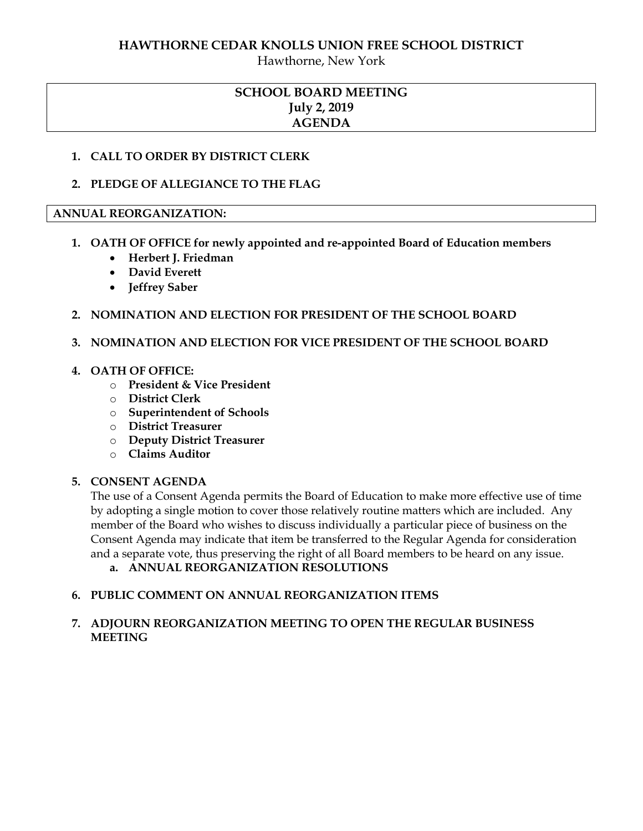#### **HAWTHORNE CEDAR KNOLLS UNION FREE SCHOOL DISTRICT**

Hawthorne, New York

# **SCHOOL BOARD MEETING July 2, 2019 AGENDA**

#### **1. CALL TO ORDER BY DISTRICT CLERK**

#### **2. PLEDGE OF ALLEGIANCE TO THE FLAG**

#### **ANNUAL REORGANIZATION:**

- **1. OATH OF OFFICE for newly appointed and re-appointed Board of Education members** 
	- **Herbert J. Friedman**
	- **David Everett**
	- **Jeffrey Saber**

### **2. NOMINATION AND ELECTION FOR PRESIDENT OF THE SCHOOL BOARD**

#### **3. NOMINATION AND ELECTION FOR VICE PRESIDENT OF THE SCHOOL BOARD**

#### **4. OATH OF OFFICE:**

- o **President & Vice President**
- o **District Clerk**
- o **Superintendent of Schools**
- o **District Treasurer**
- o **Deputy District Treasurer**
- o **Claims Auditor**

#### **5. CONSENT AGENDA**

The use of a Consent Agenda permits the Board of Education to make more effective use of time by adopting a single motion to cover those relatively routine matters which are included. Any member of the Board who wishes to discuss individually a particular piece of business on the Consent Agenda may indicate that item be transferred to the Regular Agenda for consideration and a separate vote, thus preserving the right of all Board members to be heard on any issue.

**a. ANNUAL REORGANIZATION RESOLUTIONS**

### **6. PUBLIC COMMENT ON ANNUAL REORGANIZATION ITEMS**

## **7. ADJOURN REORGANIZATION MEETING TO OPEN THE REGULAR BUSINESS MEETING**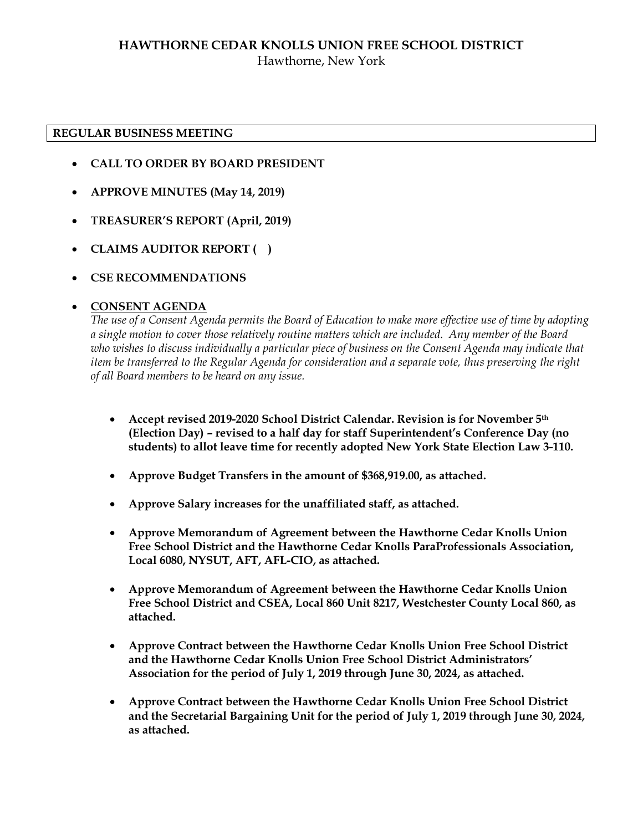## **HAWTHORNE CEDAR KNOLLS UNION FREE SCHOOL DISTRICT** Hawthorne, New York

#### **REGULAR BUSINESS MEETING**

- **CALL TO ORDER BY BOARD PRESIDENT**
- **APPROVE MINUTES (May 14, 2019)**
- **TREASURER'S REPORT (April, 2019)**
- **CLAIMS AUDITOR REPORT ( )**
- **CSE RECOMMENDATIONS**

### **CONSENT AGENDA**

*The use of a Consent Agenda permits the Board of Education to make more effective use of time by adopting a single motion to cover those relatively routine matters which are included. Any member of the Board who wishes to discuss individually a particular piece of business on the Consent Agenda may indicate that item be transferred to the Regular Agenda for consideration and a separate vote, thus preserving the right of all Board members to be heard on any issue.* 

- **Accept revised 2019-2020 School District Calendar. Revision is for November 5th (Election Day) – revised to a half day for staff Superintendent's Conference Day (no students) to allot leave time for recently adopted New York State Election Law 3-110.**
- **Approve Budget Transfers in the amount of \$368,919.00, as attached.**
- **Approve Salary increases for the unaffiliated staff, as attached.**
- **Approve Memorandum of Agreement between the Hawthorne Cedar Knolls Union Free School District and the Hawthorne Cedar Knolls ParaProfessionals Association, Local 6080, NYSUT, AFT, AFL-CIO, as attached.**
- **Approve Memorandum of Agreement between the Hawthorne Cedar Knolls Union Free School District and CSEA, Local 860 Unit 8217, Westchester County Local 860, as attached.**
- **Approve Contract between the Hawthorne Cedar Knolls Union Free School District and the Hawthorne Cedar Knolls Union Free School District Administrators' Association for the period of July 1, 2019 through June 30, 2024, as attached.**
- **Approve Contract between the Hawthorne Cedar Knolls Union Free School District and the Secretarial Bargaining Unit for the period of July 1, 2019 through June 30, 2024, as attached.**